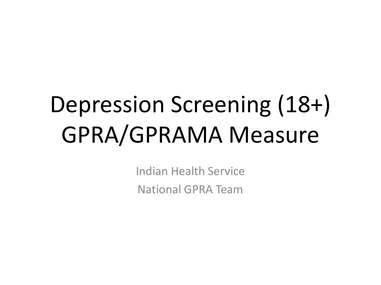# Depression Screening (18+) GPRA/GPRAMA Measure

Indian Health Service National GPRA Team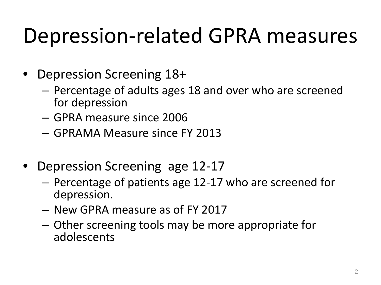## Depression-related GPRA measures

- Depression Screening 18+
	- Percentage of adults ages 18 and over who are screened for depression
	- GPRA measure since 2006
	- GPRAMA Measure since FY 2013
- Depression Screening age 12-17
	- Percentage of patients age 12-17 who are screened for depression.
	- New GPRA measure as of FY 2017
	- Other screening tools may be more appropriate for adolescents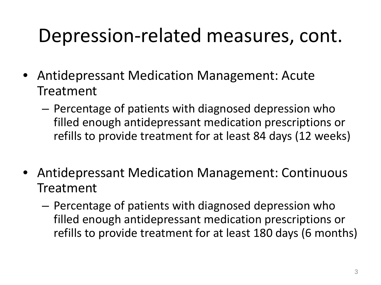## Depression-related measures, cont.

- Antidepressant Medication Management: Acute Treatment
	- Percentage of patients with diagnosed depression who filled enough antidepressant medication prescriptions or refills to provide treatment for at least 84 days (12 weeks)
- Antidepressant Medication Management: Continuous Treatment
	- Percentage of patients with diagnosed depression who filled enough antidepressant medication prescriptions or refills to provide treatment for at least 180 days (6 months)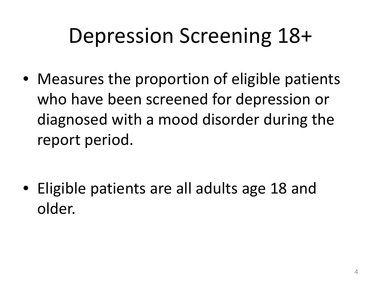## Depression Screening 18+

• Measures the proportion of eligible patients who have been screened for depression or diagnosed with a mood disorder during the report period.

• Eligible patients are all adults age 18 and older.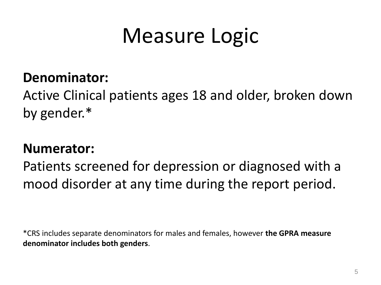## Measure Logic

## **Denominator:**

Active Clinical patients ages 18 and older, broken down by gender.\*

## **Numerator:**

Patients screened for depression or diagnosed with a mood disorder at any time during the report period.

\*CRS includes separate denominators for males and females, however **the GPRA measure denominator includes both genders**.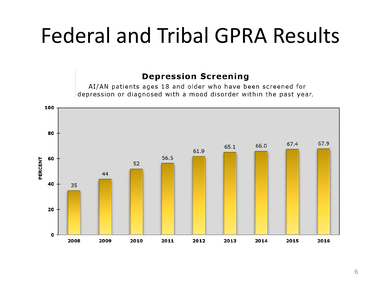## Federal and Tribal GPRA Results

### **Depression Screening**

AI/AN patients ages 18 and older who have been screened for depression or diagnosed with a mood disorder within the past year.

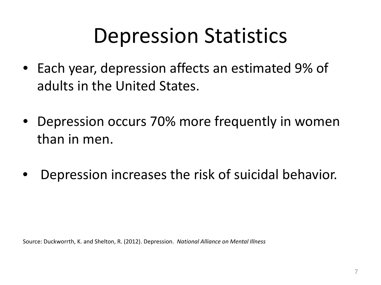## Depression Statistics

- Each year, depression affects an estimated 9% of adults in the United States.
- Depression occurs 70% more frequently in women than in men.
- Depression increases the risk of suicidal behavior.

Source: Duckworrth, K. and Shelton, R. (2012). Depression. *National Alliance on Mental Illness*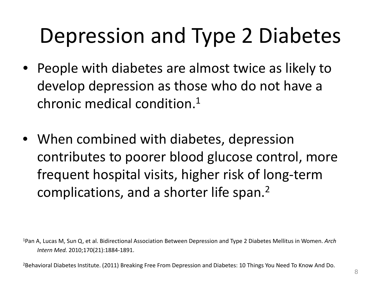# Depression and Type 2 Diabetes

- People with diabetes are almost twice as likely to develop depression as those who do not have a chronic medical condition.1
- When combined with diabetes, depression contributes to poorer blood glucose control, more frequent hospital visits, higher risk of long-term complications, and a shorter life span.2

1Pan A, Lucas M, Sun Q, et al. Bidirectional Association Between Depression and Type 2 Diabetes Mellitus in Women. *Arch Intern Med.* 2010;170(21):1884-1891.

<sup>2</sup>Behavioral Diabetes Institute. (2011) Breaking Free From Depression and Diabetes: 10 Things You Need To Know And Do.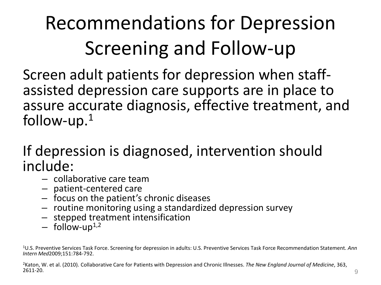## Recommendations for Depression Screening and Follow-up

Screen adult patients for depression when staff- assisted depression care supports are in place to assure accurate diagnosis, effective treatment, and follow-up. $1$ 

# If depression is diagnosed, intervention should<br>include:

- 
- 
- 
- collaborative care team<br>
patient-centered care<br>
focus on the patient's chronic diseases<br>
routine monitoring using a standardized depression survey<br>
stepped treatment intensification<br>
follow-up<sup>1,2</sup>
- 
- 

1U.S. Preventive Services Task Force. Screening for depression in adults: U.S. Preventive Services Task Force Recommendation Statement. *Ann Intern Med*2009;151:784-792.

<sup>2</sup>Katon, W. et al. (2010). Collaborative Care for Patients with Depression and Chronic Illnesses. *The New England Journal of Medicine*, 363,<br>2611-20.  $2611-20.$  9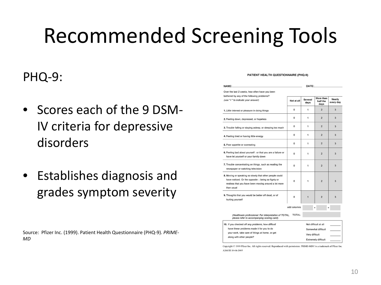## Recommended Screening Tools

## PHQ-9:

- Scores each of the 9 DSM-IV criteria for depressive disorders
- Establishes diagnosis and grades symptom severity

Source: Pfizer Inc. (1999). Patient Health Questionnaire (PHQ-9). *PRIME-MD*

#### PATIENT HEALTH QUESTIONNAIRE (PHQ-9)

| NAME:                                                                                                                                                                               | DATE:                |                 |                               |                     |
|-------------------------------------------------------------------------------------------------------------------------------------------------------------------------------------|----------------------|-----------------|-------------------------------|---------------------|
| Over the last 2 weeks, how often have you been                                                                                                                                      |                      |                 |                               |                     |
| bothered by any of the following problems?<br>(use "v" to indicate your answer)                                                                                                     | Not at all           | Several<br>days | More than<br>half the<br>days | Nearly<br>every day |
| 1. Little interest or pleasure in doing things                                                                                                                                      | $\Omega$             | 1               | $\overline{2}$                | 3                   |
| 2. Feeling down, depressed, or hopeless                                                                                                                                             | 0                    | 1               | $\overline{2}$                | 3                   |
| 3. Trouble falling or staying asleep, or sleeping too much                                                                                                                          | $\Omega$             | 1               | $\overline{2}$                | 3                   |
| 4. Feeling tired or having little energy                                                                                                                                            | $\circ$              | 1               | $\overline{2}$                | 3                   |
| 5. Poor appetite or overeating                                                                                                                                                      | 0                    | 1               | $\overline{2}$                | 3                   |
| 6. Feeling bad about yourself-or that you are a failure or<br>have let yourself or your family down                                                                                 | $\Omega$             | 1               | $\overline{2}$                | 3                   |
| 7. Trouble concentrating on things, such as reading the<br>newspaper or watching television                                                                                         | $\circ$              | 1               | $\overline{2}$                | 3                   |
| 8. Moving or speaking so slowly that other people could<br>have noticed. Or the opposite - being so figety or<br>restless that you have been moving around a lot more<br>than usual | $\Omega$             | 1               | $\overline{2}$                | 3                   |
| 9. Thoughts that you would be better off dead, or of<br>hurting yourself                                                                                                            | $\Omega$             | 1               | $\overline{2}$                | 3                   |
|                                                                                                                                                                                     | add columns          |                 |                               |                     |
| (Healthcare professional: For interpretation of TOTAL,<br>please refer to accompanying scoring card).                                                                               | <b>TOTAL:</b>        |                 |                               |                     |
| 10. If you checked off any problems, how difficult                                                                                                                                  | Not difficult at all |                 |                               |                     |
| forces. The same complete complete that a second to play                                                                                                                            |                      |                 |                               |                     |

| 10. If you checked off any problems, how difficult | Not difficult at all       |  |
|----------------------------------------------------|----------------------------|--|
| have these problems made it for you to do          | Somewhat difficult         |  |
| your work, take care of things at home, or get     | Very difficult             |  |
| along with other people?                           |                            |  |
|                                                    | <b>Extremely difficult</b> |  |

Copyright © 1999 Pfizer Inc. All rights reserved. Reproduced with permission. PRIME-MD© is a trademark of Pfizer Inc. A2663B 10-04-2005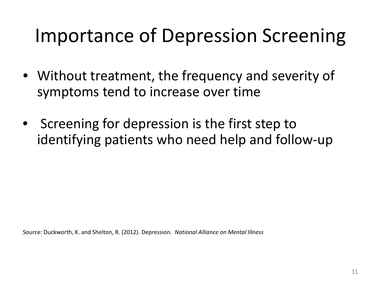## Importance of Depression Screening

- Without treatment, the frequency and severity of symptoms tend to increase over time
- Screening for depression is the first step to identifying patients who need help and follow-up

Source: Duckworth, K. and Shelton, R. (2012). Depression. *National Alliance on Mental Illness*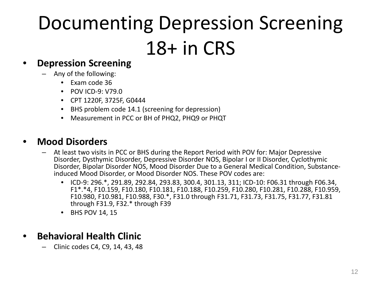## Documenting Depression Screening 18+ in CRS

### • **Depression Screening**

- Any of the following:
	- Exam code 36
	- POV ICD-9: V79.0
	- CPT 1220F, 3725F, G0444
	- BHS problem code 14.1 (screening for depression)
	- Measurement in PCC or BH of PHQ2, PHQ9 or PHQT

### • **Mood Disorders**

- At least two visits in PCC or BHS during the Report Period with POV for: Major Depressive Disorder, Dysthymic Disorder, Depressive Disorder NOS, Bipolar I or II Disorder, Cyclothymic Disorder, Bipolar Disorder NOS, Mood Disorder Due to a General Medical Condition, Substance- induced Mood Disorder, or Mood Disorder NOS. These POV codes are:
	- ICD-9: 296.\*, 291.89, 292.84, 293.83, 300.4, 301.13, 311; ICD-10: F06.31 through F06.34, F1\*.\*4, F10.159, F10.180, F10.181, F10.188, F10.259, F10.280, F10.281, F10.288, F10.959, F10.980, F10.981, F10.988, F30.\*, F31.0 through F31.71, F31.73, F31.75, F31.77, F31.81 through F31.9, F32.\* through F39
	- BHS POV 14, 15

### • **Behavioral Health Clinic**

– Clinic codes C4, C9, 14, 43, 48